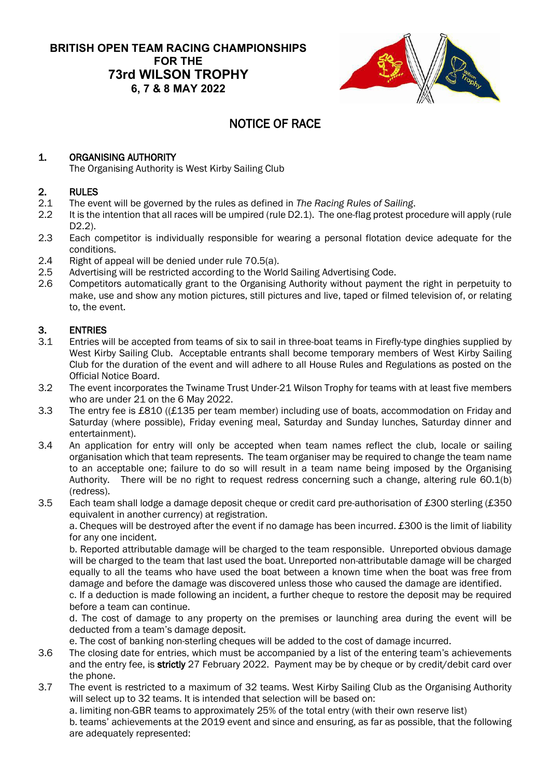#### **BRITISH OPEN TEAM RACING CHAMPIONSHIPS FOR THE 73rd WILSON TROPHY 6, 7 & 8 MAY 2022**



## NOTICE OF RACE

#### 1. ORGANISING AUTHORITY

The Organising Authority is West Kirby Sailing Club

# 2. RULES<br>2.1 The eve

- 2.1 The event will be governed by the rules as defined in *The Racing Rules of Sailing*.
- 2.2 It is the intention that all races will be umpired (rule D2.1). The one-flag protest procedure will apply (rule D2.2).
- 2.3 Each competitor is individually responsible for wearing a personal flotation device adequate for the conditions.
- 2.4 Right of appeal will be denied under rule 70.5(a).
- 2.5 Advertising will be restricted according to the World Sailing Advertising Code.
- 2.6 Competitors automatically grant to the Organising Authority without payment the right in perpetuity to make, use and show any motion pictures, still pictures and live, taped or filmed television of, or relating to, the event.

# 3. **ENTRIES**<br>3.1 Entries w

- Entries will be accepted from teams of six to sail in three-boat teams in Firefly-type dinghies supplied by West Kirby Sailing Club. Acceptable entrants shall become temporary members of West Kirby Sailing Club for the duration of the event and will adhere to all House Rules and Regulations as posted on the Official Notice Board.
- 3.2 The event incorporates the Twiname Trust Under-21 Wilson Trophy for teams with at least five members who are under 21 on the 6 May 2022.
- 3.3 The entry fee is £810 ((£135 per team member) including use of boats, accommodation on Friday and Saturday (where possible), Friday evening meal, Saturday and Sunday lunches, Saturday dinner and entertainment).
- 3.4 An application for entry will only be accepted when team names reflect the club, locale or sailing organisation which that team represents. The team organiser may be required to change the team name to an acceptable one; failure to do so will result in a team name being imposed by the Organising Authority. There will be no right to request redress concerning such a change, altering rule 60.1(b) (redress).
- 3.5 Each team shall lodge a damage deposit cheque or credit card pre-authorisation of £300 sterling (£350 equivalent in another currency) at registration.

a. Cheques will be destroyed after the event if no damage has been incurred. £300 is the limit of liability for any one incident.

b. Reported attributable damage will be charged to the team responsible. Unreported obvious damage will be charged to the team that last used the boat. Unreported non-attributable damage will be charged equally to all the teams who have used the boat between a known time when the boat was free from damage and before the damage was discovered unless those who caused the damage are identified.

c. If a deduction is made following an incident, a further cheque to restore the deposit may be required before a team can continue.

d. The cost of damage to any property on the premises or launching area during the event will be deducted from a team's damage deposit.

e. The cost of banking non-sterling cheques will be added to the cost of damage incurred.

- 3.6 The closing date for entries, which must be accompanied by a list of the entering team's achievements and the entry fee, is strictly 27 February 2022. Payment may be by cheque or by credit/debit card over the phone.
- 3.7 The event is restricted to a maximum of 32 teams. West Kirby Sailing Club as the Organising Authority will select up to 32 teams. It is intended that selection will be based on:

a. limiting non-GBR teams to approximately 25% of the total entry (with their own reserve list)

b. teams' achievements at the 2019 event and since and ensuring, as far as possible, that the following are adequately represented: